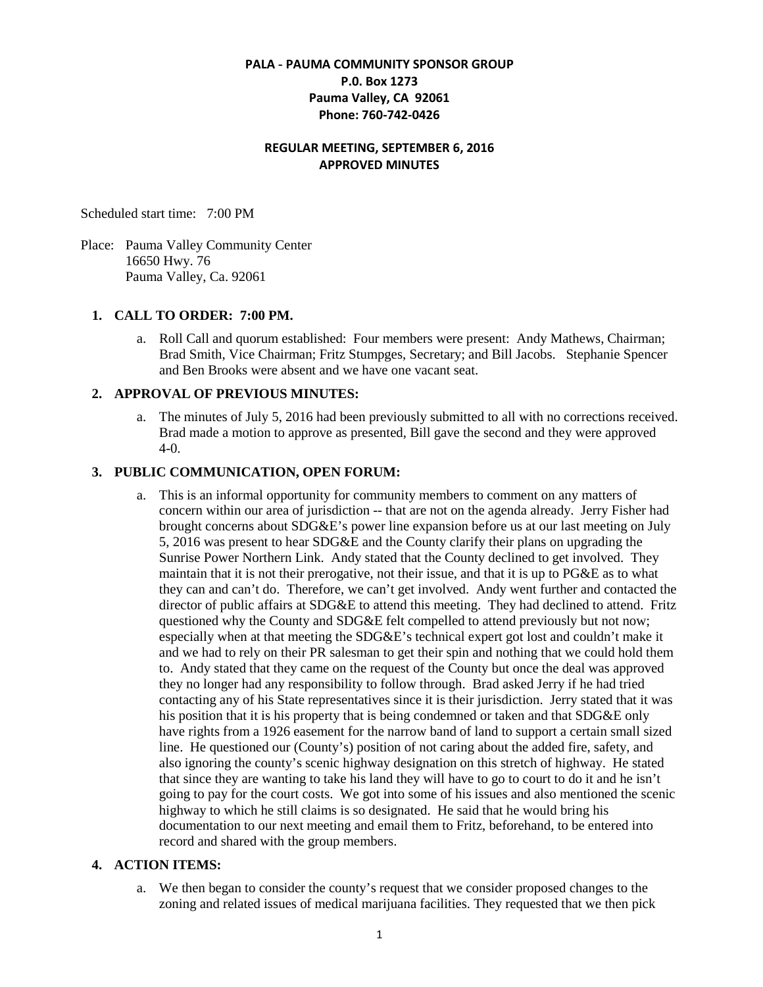# **PALA - PAUMA COMMUNITY SPONSOR GROUP P.0. Box 1273 Pauma Valley, CA 92061 Phone: 760-742-0426**

# **REGULAR MEETING, SEPTEMBER 6, 2016 APPROVED MINUTES**

Scheduled start time: 7:00 PM

Place: Pauma Valley Community Center 16650 Hwy. 76 Pauma Valley, Ca. 92061

## **1. CALL TO ORDER: 7:00 PM.**

a. Roll Call and quorum established: Four members were present: Andy Mathews, Chairman; Brad Smith, Vice Chairman; Fritz Stumpges, Secretary; and Bill Jacobs. Stephanie Spencer and Ben Brooks were absent and we have one vacant seat.

## **2. APPROVAL OF PREVIOUS MINUTES:**

a. The minutes of July 5, 2016 had been previously submitted to all with no corrections received. Brad made a motion to approve as presented, Bill gave the second and they were approved 4-0.

## **3. PUBLIC COMMUNICATION, OPEN FORUM:**

a. This is an informal opportunity for community members to comment on any matters of concern within our area of jurisdiction -- that are not on the agenda already. Jerry Fisher had brought concerns about SDG&E's power line expansion before us at our last meeting on July 5, 2016 was present to hear SDG&E and the County clarify their plans on upgrading the Sunrise Power Northern Link. Andy stated that the County declined to get involved. They maintain that it is not their prerogative, not their issue, and that it is up to PG&E as to what they can and can't do. Therefore, we can't get involved. Andy went further and contacted the director of public affairs at SDG&E to attend this meeting. They had declined to attend. Fritz questioned why the County and SDG&E felt compelled to attend previously but not now; especially when at that meeting the SDG&E's technical expert got lost and couldn't make it and we had to rely on their PR salesman to get their spin and nothing that we could hold them to. Andy stated that they came on the request of the County but once the deal was approved they no longer had any responsibility to follow through. Brad asked Jerry if he had tried contacting any of his State representatives since it is their jurisdiction. Jerry stated that it was his position that it is his property that is being condemned or taken and that SDG&E only have rights from a 1926 easement for the narrow band of land to support a certain small sized line. He questioned our (County's) position of not caring about the added fire, safety, and also ignoring the county's scenic highway designation on this stretch of highway. He stated that since they are wanting to take his land they will have to go to court to do it and he isn't going to pay for the court costs. We got into some of his issues and also mentioned the scenic highway to which he still claims is so designated. He said that he would bring his documentation to our next meeting and email them to Fritz, beforehand, to be entered into record and shared with the group members.

## **4. ACTION ITEMS:**

a. We then began to consider the county's request that we consider proposed changes to the zoning and related issues of medical marijuana facilities. They requested that we then pick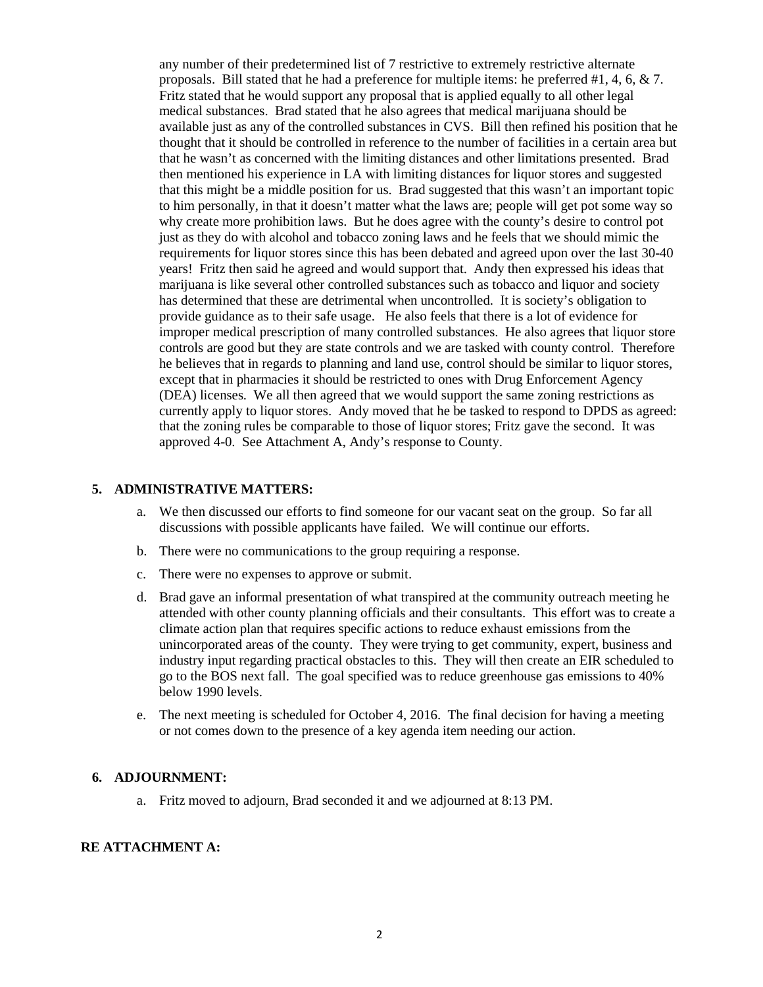any number of their predetermined list of 7 restrictive to extremely restrictive alternate proposals. Bill stated that he had a preference for multiple items: he preferred #1, 4, 6, & 7. Fritz stated that he would support any proposal that is applied equally to all other legal medical substances. Brad stated that he also agrees that medical marijuana should be available just as any of the controlled substances in CVS. Bill then refined his position that he thought that it should be controlled in reference to the number of facilities in a certain area but that he wasn't as concerned with the limiting distances and other limitations presented. Brad then mentioned his experience in LA with limiting distances for liquor stores and suggested that this might be a middle position for us. Brad suggested that this wasn't an important topic to him personally, in that it doesn't matter what the laws are; people will get pot some way so why create more prohibition laws. But he does agree with the county's desire to control pot just as they do with alcohol and tobacco zoning laws and he feels that we should mimic the requirements for liquor stores since this has been debated and agreed upon over the last 30-40 years! Fritz then said he agreed and would support that. Andy then expressed his ideas that marijuana is like several other controlled substances such as tobacco and liquor and society has determined that these are detrimental when uncontrolled. It is society's obligation to provide guidance as to their safe usage. He also feels that there is a lot of evidence for improper medical prescription of many controlled substances. He also agrees that liquor store controls are good but they are state controls and we are tasked with county control. Therefore he believes that in regards to planning and land use, control should be similar to liquor stores, except that in pharmacies it should be restricted to ones with Drug Enforcement Agency (DEA) licenses. We all then agreed that we would support the same zoning restrictions as currently apply to liquor stores. Andy moved that he be tasked to respond to DPDS as agreed: that the zoning rules be comparable to those of liquor stores; Fritz gave the second. It was approved 4-0. See Attachment A, Andy's response to County.

#### **5. ADMINISTRATIVE MATTERS:**

- a. We then discussed our efforts to find someone for our vacant seat on the group. So far all discussions with possible applicants have failed. We will continue our efforts.
- b. There were no communications to the group requiring a response.
- c. There were no expenses to approve or submit.
- d. Brad gave an informal presentation of what transpired at the community outreach meeting he attended with other county planning officials and their consultants. This effort was to create a climate action plan that requires specific actions to reduce exhaust emissions from the unincorporated areas of the county. They were trying to get community, expert, business and industry input regarding practical obstacles to this. They will then create an EIR scheduled to go to the BOS next fall. The goal specified was to reduce greenhouse gas emissions to 40% below 1990 levels.
- e. The next meeting is scheduled for October 4, 2016. The final decision for having a meeting or not comes down to the presence of a key agenda item needing our action.

## **6. ADJOURNMENT:**

a. Fritz moved to adjourn, Brad seconded it and we adjourned at 8:13 PM.

#### **RE ATTACHMENT A:**